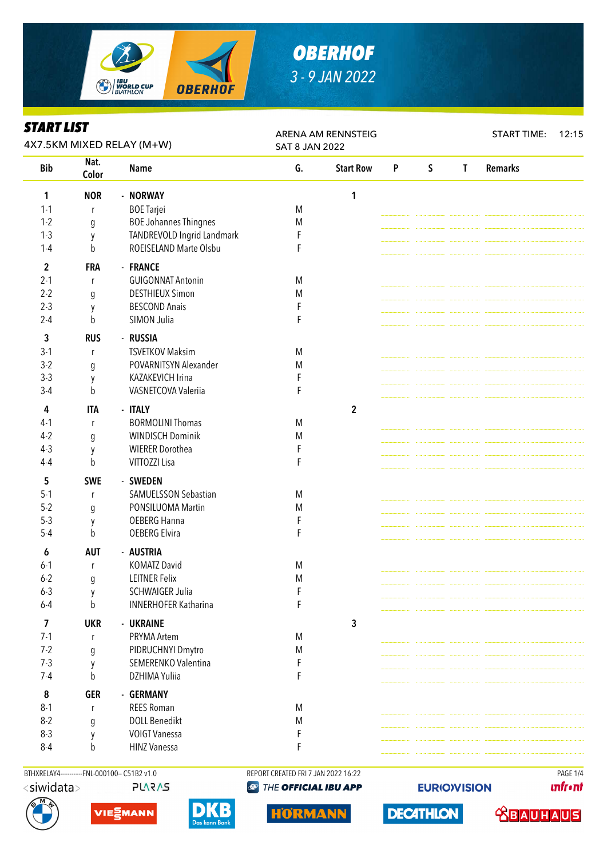

### *OBERHOF 3 - 9 JAN 2022*

### *START LIST*

| ƏIAKI LIƏI<br>4X7.5KM MIXED RELAY (M+W) |                  |                              | <b>ARENA AM RENNSTEIG</b><br><b>SAT 8 JAN 2022</b> |                  |   |             |              | <b>START TIME:</b><br>12:15 |  |
|-----------------------------------------|------------------|------------------------------|----------------------------------------------------|------------------|---|-------------|--------------|-----------------------------|--|
| Nat.<br><b>Bib</b><br>Color             |                  | <b>Name</b>                  | G.                                                 | <b>Start Row</b> | P | $\mathsf S$ | $\mathbf{T}$ | <b>Remarks</b>              |  |
| 1                                       | <b>NOR</b>       | - NORWAY                     |                                                    | 1                |   |             |              |                             |  |
| $1 - 1$                                 | $\mathsf{r}$     | <b>BOE Tarjei</b>            | M                                                  |                  |   |             |              |                             |  |
| $1 - 2$                                 | $\mathfrak g$    | <b>BOE Johannes Thingnes</b> | M                                                  |                  |   |             |              |                             |  |
| $1-3$                                   | y                | TANDREVOLD Ingrid Landmark   | F                                                  |                  |   |             |              |                             |  |
| $1-4$                                   | $\mathsf b$      | ROEISELAND Marte Olsbu       | F                                                  |                  |   |             |              |                             |  |
| 2                                       | <b>FRA</b>       | - FRANCE                     |                                                    |                  |   |             |              |                             |  |
| $2 - 1$                                 | $\mathsf{r}$     | <b>GUIGONNAT Antonin</b>     | M                                                  |                  |   |             |              |                             |  |
| $2 - 2$                                 | g                | <b>DESTHIEUX Simon</b>       | M                                                  |                  |   |             |              |                             |  |
| $2 - 3$                                 | y                | <b>BESCOND Anais</b>         | F                                                  |                  |   |             |              |                             |  |
| $2 - 4$                                 | b                | SIMON Julia                  | F                                                  |                  |   |             |              |                             |  |
| 3                                       | <b>RUS</b>       | - RUSSIA                     |                                                    |                  |   |             |              |                             |  |
| $3-1$                                   | $\mathsf{r}$     | <b>TSVETKOV Maksim</b>       | M                                                  |                  |   |             |              |                             |  |
| $3-2$                                   | g                | POVARNITSYN Alexander        | M                                                  |                  |   |             |              |                             |  |
| $3-3$                                   | y                | KAZAKEVICH Irina             | F                                                  |                  |   |             |              |                             |  |
| $3-4$                                   | b                | VASNETCOVA Valeriia          | F                                                  |                  |   |             |              |                             |  |
| 4                                       | <b>ITA</b>       | - ITALY                      |                                                    | $\overline{2}$   |   |             |              |                             |  |
| $4-1$                                   | $\mathsf{r}$     | <b>BORMOLINI Thomas</b>      | M                                                  |                  |   |             |              |                             |  |
| $4-2$                                   | $\boldsymbol{g}$ | <b>WINDISCH Dominik</b>      | M                                                  |                  |   |             |              |                             |  |
| $4-3$                                   | y                | <b>WIERER Dorothea</b>       | F                                                  |                  |   |             |              |                             |  |
| $4 - 4$                                 | b                | VITTOZZI Lisa                | F                                                  |                  |   |             |              |                             |  |
| 5                                       | <b>SWE</b>       | - SWEDEN                     |                                                    |                  |   |             |              |                             |  |
| $5 - 1$                                 | r                | SAMUELSSON Sebastian         | M                                                  |                  |   |             |              |                             |  |
| $5 - 2$                                 | g                | PONSILUOMA Martin            | M                                                  |                  |   |             |              |                             |  |
| $5-3$                                   | y                | OEBERG Hanna                 | F                                                  |                  |   |             |              |                             |  |
| $5-4$                                   | b                | <b>OEBERG Elvira</b>         | F                                                  |                  |   |             |              |                             |  |
| 6                                       | <b>AUT</b>       | - AUSTRIA                    |                                                    |                  |   |             |              |                             |  |
| $6-1$                                   | $\mathsf r$      | <b>KOMATZ David</b>          | M                                                  |                  |   |             |              |                             |  |
| $6 - 2$                                 | g                | <b>LEITNER Felix</b>         | M                                                  |                  |   |             |              |                             |  |
| $6 - 3$                                 | y                | <b>SCHWAIGER Julia</b>       | F                                                  |                  |   |             |              |                             |  |
| $6-4$                                   | $\mathsf b$      | <b>INNERHOFER Katharina</b>  | F                                                  |                  |   |             |              |                             |  |
| 7                                       | <b>UKR</b>       | - UKRAINE                    |                                                    | 3                |   |             |              |                             |  |
| $7-1$                                   | r                | PRYMA Artem                  | M                                                  |                  |   |             |              |                             |  |
| $7 - 2$                                 | $\boldsymbol{g}$ | PIDRUCHNYI Dmytro            | M                                                  |                  |   |             |              |                             |  |
| $7-3$                                   | y                | SEMERENKO Valentina          | F                                                  |                  |   |             |              |                             |  |
| $7-4$                                   | b                | DZHIMA Yuliia                | F                                                  |                  |   |             |              |                             |  |
| ${\bf 8}$                               | <b>GER</b>       | - GERMANY                    |                                                    |                  |   |             |              |                             |  |
| $8 - 1$                                 | $\mathsf{r}$     | <b>REES Roman</b>            | M                                                  |                  |   |             |              |                             |  |
| $8-2$                                   | g                | <b>DOLL Benedikt</b>         | M                                                  |                  |   |             |              |                             |  |
| $8 - 3$                                 | y                | <b>VOIGT Vanessa</b>         | F                                                  |                  |   |             |              |                             |  |
| $8 - 4$                                 | b                | <b>HINZ Vanessa</b>          | F                                                  |                  |   |             |              |                             |  |

BTHXRELAY4-----------FNL-000100-- C51B2 v1.0 REPORT CREATED FRI 7 JAN 2022 16:22 REPORT CREATED FRI 7 JAN 2022 16:22 **PLARAS** 







**@ THE OFFICIAL IBU APP** 



**EURIO)VISION** 

**DECATHLON** 

**unfront** 

**TROVIDAD**S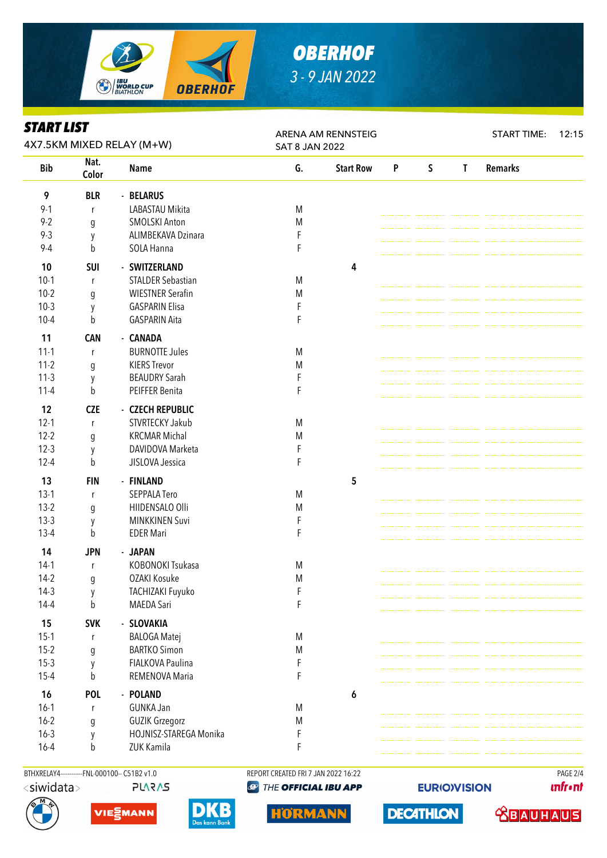

# *OBERHOF 3 - 9 JAN 2022*

#### *START LIST*

| ƏIAKI LIƏI<br>4X7.5KM MIXED RELAY (M+W) |                  |                          | ARENA AM RENNSTEIG<br><b>SAT 8 JAN 2022</b> |                  |   |              |              | <b>START TIME:</b><br>12:15 |  |  |
|-----------------------------------------|------------------|--------------------------|---------------------------------------------|------------------|---|--------------|--------------|-----------------------------|--|--|
| <b>Bib</b>                              | Nat.<br>Color    | <b>Name</b>              | G.                                          | <b>Start Row</b> | P | $\mathsf{S}$ | $\mathsf{T}$ | <b>Remarks</b>              |  |  |
| 9                                       | <b>BLR</b>       | - BELARUS                |                                             |                  |   |              |              |                             |  |  |
| $9 - 1$                                 | r                | LABASTAU Mikita          | M                                           |                  |   |              |              |                             |  |  |
| $9 - 2$                                 | g                | <b>SMOLSKI Anton</b>     | M                                           |                  |   |              |              |                             |  |  |
| $9 - 3$                                 | y                | ALIMBEKAVA Dzinara       | F                                           |                  |   |              |              |                             |  |  |
| $9 - 4$                                 | b                | SOLA Hanna               | F                                           |                  |   |              |              |                             |  |  |
| 10                                      | SUI              | - SWITZERLAND            |                                             | 4                |   |              |              |                             |  |  |
| $10-1$                                  | r                | <b>STALDER Sebastian</b> | M                                           |                  |   |              |              |                             |  |  |
| $10-2$                                  | g                | <b>WIESTNER Serafin</b>  | M                                           |                  |   |              |              |                             |  |  |
| $10-3$                                  | у                | <b>GASPARIN Elisa</b>    | $\mathsf F$                                 |                  |   |              |              |                             |  |  |
| $10 - 4$                                | b                | <b>GASPARIN Aita</b>     | F                                           |                  |   |              |              |                             |  |  |
| 11                                      | <b>CAN</b>       | - CANADA                 |                                             |                  |   |              |              |                             |  |  |
| $11 - 1$                                | $\mathsf{r}$     | <b>BURNOTTE Jules</b>    | M                                           |                  |   |              |              |                             |  |  |
| $11-2$                                  | g                | <b>KIERS Trevor</b>      | ${\sf M}$                                   |                  |   |              |              |                             |  |  |
| $11-3$                                  | y                | <b>BEAUDRY Sarah</b>     | F                                           |                  |   |              |              |                             |  |  |
| $11 - 4$                                | b                | PEIFFER Benita           | F                                           |                  |   |              |              |                             |  |  |
| 12                                      | <b>CZE</b>       | - CZECH REPUBLIC         |                                             |                  |   |              |              |                             |  |  |
| $12 - 1$                                | $\mathsf{r}$     | STVRTECKY Jakub          | M                                           |                  |   |              |              |                             |  |  |
| $12 - 2$                                | $\mathfrak g$    | <b>KRCMAR Michal</b>     | ${\sf M}$                                   |                  |   |              |              |                             |  |  |
| $12-3$                                  | y                | DAVIDOVA Marketa         | F                                           |                  |   |              |              |                             |  |  |
| $12 - 4$                                | b                | JISLOVA Jessica          | F                                           |                  |   |              |              |                             |  |  |
| 13                                      | <b>FIN</b>       | - FINLAND                |                                             | 5                |   |              |              |                             |  |  |
| $13-1$                                  | r                | <b>SEPPALA Tero</b>      | M                                           |                  |   |              |              |                             |  |  |
| $13-2$                                  | g                | HIIDENSALO Olli          | M                                           |                  |   |              |              |                             |  |  |
| $13-3$                                  | y                | <b>MINKKINEN Suvi</b>    | F                                           |                  |   |              |              |                             |  |  |
| $13 - 4$                                | b                | <b>EDER Mari</b>         | F                                           |                  |   |              |              |                             |  |  |
| 14                                      | <b>JPN</b>       | - JAPAN                  |                                             |                  |   |              |              |                             |  |  |
| $14-1$                                  | $\mathsf r$      | KOBONOKI Tsukasa         | ${\sf M}$                                   |                  |   |              |              |                             |  |  |
| $14-2$                                  | g                | OZAKI Kosuke             | ${\sf M}$                                   |                  |   |              |              |                             |  |  |
| $14-3$                                  | y                | TACHIZAKI Fuyuko         | F                                           |                  |   |              |              |                             |  |  |
| $14 - 4$                                | $\mathsf b$      | <b>MAEDA Sari</b>        | F                                           |                  |   |              |              |                             |  |  |
| 15                                      | <b>SVK</b>       | - SLOVAKIA               |                                             |                  |   |              |              |                             |  |  |
| $15-1$                                  | r                | <b>BALOGA Matej</b>      | M                                           |                  |   |              |              |                             |  |  |
| $15-2$                                  | $\boldsymbol{g}$ | <b>BARTKO Simon</b>      | M                                           |                  |   |              |              |                             |  |  |
| $15-3$                                  | y                | FIALKOVA Paulina         | F                                           |                  |   |              |              |                             |  |  |
| $15 - 4$                                | b                | REMENOVA Maria           | F                                           |                  |   |              |              |                             |  |  |
| 16                                      | <b>POL</b>       | - POLAND                 |                                             | 6                |   |              |              |                             |  |  |
| $16-1$                                  | $\mathsf{r}$     | <b>GUNKA Jan</b>         | M                                           |                  |   |              |              |                             |  |  |
| $16 - 2$                                | g                | <b>GUZIK Grzegorz</b>    | ${\sf M}$                                   |                  |   |              |              |                             |  |  |
| $16 - 3$                                | у                | HOJNISZ-STAREGA Monika   | F                                           |                  |   |              |              |                             |  |  |
| $16 - 4$                                | b                | ZUK Kamila               | F                                           |                  |   |              |              |                             |  |  |

BTHXRELAY4-----------FNL-000100-- C51B2 v1.0 REPORT CREATED FRI 7 JAN 2022 16:22 REPORT CREATED FRI 7 JAN 2022 16:22 <siwidata> **PLARAS** 







**@ THE OFFICIAL IBU APP** 



**EURIO)VISION** 

**unfront** 

**TROVIDAD**S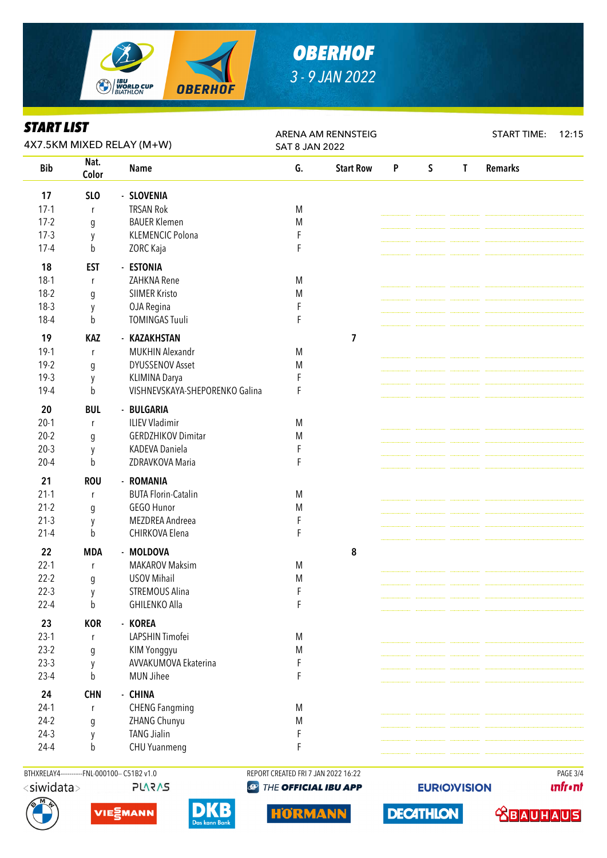

# *OBERHOF 3 - 9 JAN 2022*

#### *START LIST*

| ƏIAKI LIƏI<br>4X7.5KM MIXED RELAY (M+W) |                 |                                | ARENA AM RENNSTEIG<br><b>SAT 8 JAN 2022</b> |                  |   |             |              | <b>START TIME:</b> | 12:15 |
|-----------------------------------------|-----------------|--------------------------------|---------------------------------------------|------------------|---|-------------|--------------|--------------------|-------|
| <b>Bib</b>                              | Nat.<br>Color   | <b>Name</b>                    | G.                                          | <b>Start Row</b> | P | $\mathsf S$ | $\mathsf{T}$ | <b>Remarks</b>     |       |
| 17                                      | SL <sub>O</sub> | - SLOVENIA                     |                                             |                  |   |             |              |                    |       |
| $17-1$                                  | r               | <b>TRSAN Rok</b>               | M                                           |                  |   |             |              |                    |       |
| $17-2$                                  | g               | <b>BAUER Klemen</b>            | M                                           |                  |   |             |              |                    |       |
| $17-3$                                  | y               | <b>KLEMENCIC Polona</b>        | F                                           |                  |   |             |              |                    |       |
| $17 - 4$                                | b               | ZORC Kaja                      | F                                           |                  |   |             |              |                    |       |
| 18                                      | <b>EST</b>      | - ESTONIA                      |                                             |                  |   |             |              |                    |       |
| $18-1$                                  | $\mathsf{r}$    | ZAHKNA Rene                    | M                                           |                  |   |             |              |                    |       |
| $18-2$                                  | g               | <b>SIIMER Kristo</b>           | M                                           |                  |   |             |              |                    |       |
| $18-3$                                  | y               | OJA Regina                     | F                                           |                  |   |             |              |                    |       |
| $18-4$                                  | b               | <b>TOMINGAS Tuuli</b>          | F                                           |                  |   |             |              |                    |       |
| 19                                      | <b>KAZ</b>      | - KAZAKHSTAN                   |                                             | $\overline{7}$   |   |             |              |                    |       |
| $19-1$                                  | $\mathsf{r}$    | <b>MUKHIN Alexandr</b>         | M                                           |                  |   |             |              |                    |       |
| $19-2$                                  | g               | <b>DYUSSENOV Asset</b>         | ${\sf M}$                                   |                  |   |             |              |                    |       |
| $19-3$                                  | y               | KLIMINA Darya                  | F                                           |                  |   |             |              |                    |       |
| 19-4                                    | b               | VISHNEVSKAYA-SHEPORENKO Galina | F                                           |                  |   |             |              |                    |       |
| 20                                      | <b>BUL</b>      | - BULGARIA                     |                                             |                  |   |             |              |                    |       |
| $20-1$                                  | r               | <b>ILIEV Vladimir</b>          | M                                           |                  |   |             |              |                    |       |
| $20 - 2$                                | g               | <b>GERDZHIKOV Dimitar</b>      | M                                           |                  |   |             |              |                    |       |
| $20-3$                                  | y               | KADEVA Daniela                 |                                             |                  |   |             |              |                    |       |
| $20 - 4$                                | b               | ZDRAVKOVA Maria                | F                                           |                  |   |             |              |                    |       |
| 21                                      | <b>ROU</b>      | - ROMANIA                      |                                             |                  |   |             |              |                    |       |
| $21-1$                                  | $\mathsf{r}$    | <b>BUTA Florin-Catalin</b>     | ${\sf M}$                                   |                  |   |             |              |                    |       |
| $21-2$                                  | g               | GEGO Hunor                     | M                                           |                  |   |             |              |                    |       |
| $21-3$                                  | y               | MEZDREA Andreea                | F                                           |                  |   |             |              |                    |       |
| $21 - 4$                                | b               | CHIRKOVA Elena                 | F                                           |                  |   |             |              |                    |       |
| 22                                      | <b>MDA</b>      | - MOLDOVA                      |                                             | 8                |   |             |              |                    |       |
| $22 - 1$                                | $\mathsf{r}$    | <b>MAKAROV Maksim</b>          | M                                           |                  |   |             |              |                    |       |
| $22 - 2$                                | g               | <b>USOV Mihail</b>             | ${\sf M}$                                   |                  |   |             |              |                    |       |
| $22-3$                                  | y               | <b>STREMOUS Alina</b>          | F                                           |                  |   |             |              |                    |       |
| $22 - 4$                                | $\mathsf b$     | <b>GHILENKO Alla</b>           | F                                           |                  |   |             |              |                    |       |
| 23                                      | <b>KOR</b>      | - KOREA                        |                                             |                  |   |             |              |                    |       |
| $23-1$                                  | r               | LAPSHIN Timofei                | M                                           |                  |   |             |              |                    |       |
| $23-2$                                  | g               | KIM Yonggyu                    | M                                           |                  |   |             |              |                    |       |
| $23-3$                                  | y               | AVVAKUMOVA Ekaterina           | F                                           |                  |   |             |              |                    |       |
| $23-4$                                  | b               | <b>MUN Jihee</b>               | F                                           |                  |   |             |              |                    |       |
| 24                                      | <b>CHN</b>      | - CHINA                        |                                             |                  |   |             |              |                    |       |
| $24-1$                                  | $\mathsf{r}$    | <b>CHENG Fangming</b>          | M                                           |                  |   |             |              |                    |       |
| $24-2$                                  | g               | ZHANG Chunyu                   | M                                           |                  |   |             |              |                    |       |
| $24-3$                                  | у               | <b>TANG Jialin</b>             | F                                           |                  |   |             |              |                    |       |
| $24 - 4$                                | b               | CHU Yuanmeng                   | F                                           |                  |   |             |              |                    |       |
|                                         |                 |                                |                                             |                  |   |             |              |                    |       |

BTHXRELAY4-----------FNL-000100-- C51B2 v1.0 REPORT CREATED FRI 7 JAN 2022 16:22 REPORT CREATED FRI 7 JAN 2022 16:22 **PLARAS** 





D





**EURIO)VISION** 

**DECATHLON** 

**unfront**